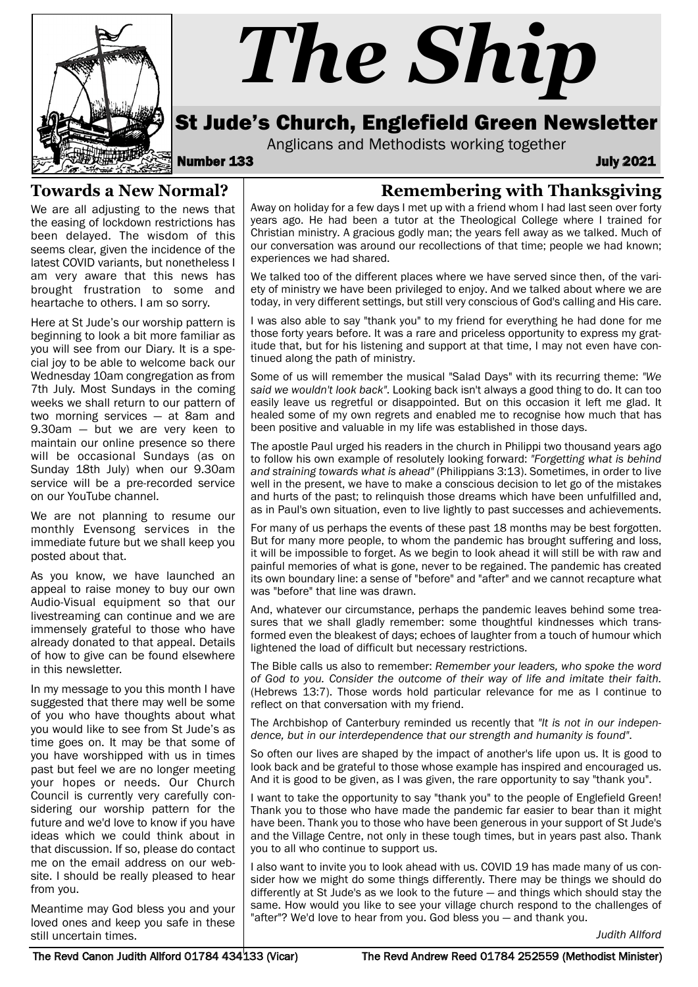

# *The Ship*

# St Jude's Church, Englefield Green Newsletter

Anglicans and Methodists working together<br>**133** July 2021

### **Towards a New Normal?**

We are all adjusting to the news that the easing of lockdown restrictions has been delayed. The wisdom of this seems clear, given the incidence of the latest COVID variants, but nonetheless I am very aware that this news has brought frustration to some and heartache to others. I am so sorry.

Here at St Jude's our worship pattern is beginning to look a bit more familiar as you will see from our Diary. It is a special joy to be able to welcome back our Wednesday 10am congregation as from 7th July. Most Sundays in the coming weeks we shall return to our pattern of two morning services — at 8am and 9.30am — but we are very keen to maintain our online presence so there will be occasional Sundays (as on Sunday 18th July) when our 9.30am service will be a pre-recorded service on our YouTube channel.

We are not planning to resume our monthly Evensong services in the immediate future but we shall keep you posted about that.

As you know, we have launched an appeal to raise money to buy our own Audio-Visual equipment so that our livestreaming can continue and we are immensely grateful to those who have already donated to that appeal. Details of how to give can be found elsewhere in this newsletter.

In my message to you this month I have suggested that there may well be some of you who have thoughts about what you would like to see from St Jude's as time goes on. It may be that some of you have worshipped with us in times past but feel we are no longer meeting your hopes or needs. Our Church Council is currently very carefully considering our worship pattern for the future and we'd love to know if you have ideas which we could think about in that discussion. If so, please do contact me on the email address on our website. I should be really pleased to hear from you.

Meantime may God bless you and your loved ones and keep you safe in these still uncertain times.

# **Remembering with Thanksgiving**

Away on holiday for a few days I met up with a friend whom I had last seen over forty years ago. He had been a tutor at the Theological College where I trained for Christian ministry. A gracious godly man; the years fell away as we talked. Much of our conversation was around our recollections of that time; people we had known; experiences we had shared.

We talked too of the different places where we have served since then, of the variety of ministry we have been privileged to enjoy. And we talked about where we are today, in very different settings, but still very conscious of God's calling and His care.

I was also able to say "thank you" to my friend for everything he had done for me those forty years before. It was a rare and priceless opportunity to express my gratitude that, but for his listening and support at that time, I may not even have continued along the path of ministry.

Some of us will remember the musical "Salad Days" with its recurring theme: *"We said we wouldn't look back"*. Looking back isn't always a good thing to do. It can too easily leave us regretful or disappointed. But on this occasion it left me glad. It healed some of my own regrets and enabled me to recognise how much that has been positive and valuable in my life was established in those days.

The apostle Paul urged his readers in the church in Philippi two thousand years ago to follow his own example of resolutely looking forward: *"Forgetting what is behind and straining towards what is ahead"* (Philippians 3:13). Sometimes, in order to live well in the present, we have to make a conscious decision to let go of the mistakes and hurts of the past; to relinquish those dreams which have been unfulfilled and, as in Paul's own situation, even to live lightly to past successes and achievements.

For many of us perhaps the events of these past 18 months may be best forgotten. But for many more people, to whom the pandemic has brought suffering and loss, it will be impossible to forget. As we begin to look ahead it will still be with raw and painful memories of what is gone, never to be regained. The pandemic has created its own boundary line: a sense of "before" and "after" and we cannot recapture what was "before" that line was drawn.

And, whatever our circumstance, perhaps the pandemic leaves behind some treasures that we shall gladly remember: some thoughtful kindnesses which transformed even the bleakest of days; echoes of laughter from a touch of humour which lightened the load of difficult but necessary restrictions.

The Bible calls us also to remember: *Remember your leaders, who spoke the word of God to you. Consider the outcome of their way of life and imitate their faith.* (Hebrews 13:7). Those words hold particular relevance for me as I continue to reflect on that conversation with my friend.

The Archbishop of Canterbury reminded us recently that *"It is not in our independence, but in our interdependence that our strength and humanity is found"*.

So often our lives are shaped by the impact of another's life upon us. It is good to look back and be grateful to those whose example has inspired and encouraged us. And it is good to be given, as I was given, the rare opportunity to say "thank you".

I want to take the opportunity to say "thank you" to the people of Englefield Green! Thank you to those who have made the pandemic far easier to bear than it might have been. Thank you to those who have been generous in your support of St Jude's and the Village Centre, not only in these tough times, but in years past also. Thank you to all who continue to support us.

I also want to invite you to look ahead with us. COVID 19 has made many of us consider how we might do some things differently. There may be things we should do differently at St Jude's as we look to the future — and things which should stay the same. How would you like to see your village church respond to the challenges of "after"? We'd love to hear from you. God bless you — and thank you.

*Judith Allford*